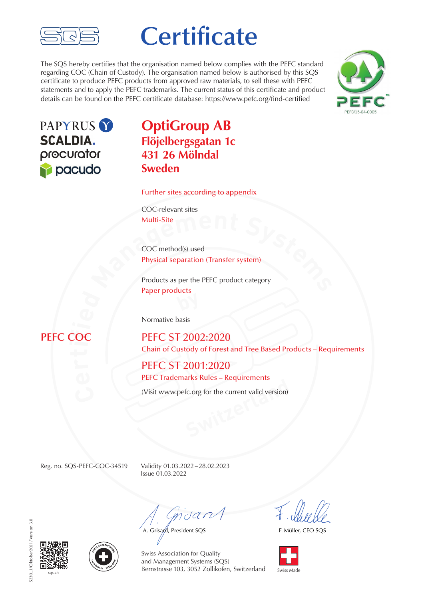

# **Certificate**

The SQS hereby certifies that the organisation named below complies with the PEFC standard regarding COC (Chain of Custody). The organisation named below is authorised by this SQS certificate to produce PEFC products from approved raw materials, to sell these with PEFC statements and to apply the PEFC trademarks. The current status of this certificate and product details can be found on the PEFC certificate database: https://www.pefc.org/find-certified





## **OptiGroup AB Flöjelbergsgatan 1c 431 26 Mölndal Sweden**

Further sites according to appendix

COC-relevant sites Multi-Site

**Multi-Site**<br> **COC** method(s) used<br> **Physical separation (Transfer system)<br>
Products as per the PEFC product category<br>
Paper products** COC method(s) used Physical separation (Transfer system)

Products as per the PEFC product category Paper products

Normative basis

## $\overline{C}OC$

**PEFC ST 2002:2020** Chain of Custody of Forest and Tree Based Products – Requirements

PEFC ST 2001:2020 PEFC Trademarks Rules – Requirements

**Switchfield Contract Contract Contract Contract Contract Contract Contract Contract Contract Contract Contract Contract Contract Contract Contract Contract Contract Contract Contract Contract Contract Contract Contract Co** (Visit www.pefc.org for the current valid version)

Reg. no. SQS-PEFC-COC-34519 Validity 01.03.2022–28.02.2023 Issue 01.03.2022

 $m$ dan

A. Grisard, President SQS

F. Müller, CEO SQS



5230\_1/Oktober2021/Version 3.0 5230\_1/Oktober2021/Version 3.0





Super**ity Primes School Swiss Made** Bernstrasse 103, 3052 Zollikofen, Switzerland Swiss Made Swiss Association for Quality and Management Systems (SQS)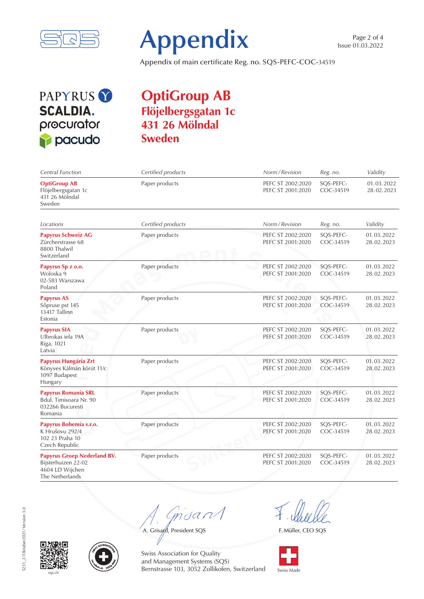



Appendix of main certificate Reg. no. SQS-PEFC-COC-34519

## PAPYRUS<sup>Y</sup> **SCALDIA.** procurator pacudo

## **OptiGroup AB Flöjelbergsgatan 1c 431 26 Mölndal Sweden**

| Central Function                                                                                | Certified products | Norm / Revision                        | Reg. no.               | Validity                 |
|-------------------------------------------------------------------------------------------------|--------------------|----------------------------------------|------------------------|--------------------------|
| <b>OptiGroup AB</b><br>Flöjelbergsgatan 1c<br>431 26 Mölndal<br>Sweden                          | Paper products     | PEFC ST 2002:2020<br>PEFC ST 2001:2020 | SQS-PEFC-<br>COC-34519 | 01.03.2022<br>28.02.2023 |
| Locations                                                                                       | Certified products | Norm / Revision                        | Reg. no.               | Validity                 |
| <b>Papyrus Schweiz AG</b><br>Zürcherstrasse 68<br>8800 Thalwil<br>Switzerland                   | Paper products     | PEFC ST 2002:2020<br>PEFC ST 2001:2020 | SQS-PEFC-<br>COC-34519 | 01.03.2022<br>28.02.2023 |
| Papyrus Sp z o.o.<br>Woloska 9<br>02-583 Warszawa<br>Poland                                     | Paper products     | PEFC ST 2002:2020<br>PEFC ST 2001:2020 | SQS-PEFC-<br>COC-34519 | 01.03.2022<br>28.02.2023 |
| <b>Papyrus AS</b><br>Sõpruse pst 145<br>13417 Tallinn<br>Estonia                                | Paper products     | PEFC ST 2002:2020<br>PEFC ST 2001:2020 | SQS-PEFC-<br>COC-34519 | 01.03.2022<br>28.02.2023 |
| <b>Papyrus SIA</b><br>Ulbrokas iela 19A<br>Riga, 1021<br>Latvia                                 | Paper products     | PEFC ST 2002:2020<br>PEFC ST 2001:2020 | SQS-PEFC-<br>COC-34519 | 01.03.2022<br>28.02.2023 |
| Papyrus Hungária Zrt<br>Könyves Kálmán körút 11/c<br>1097 Budapest<br>Hungary                   | Paper products     | PEFC ST 2002:2020<br>PEFC ST 2001:2020 | SQS-PEFC-<br>COC-34519 | 01.03.2022<br>28.02.2023 |
| <b>Papyrus Romania SRL</b><br>Bdul. Timisoara Nr. 90<br>032266 Bucuresti<br>Romania             | Paper products     | PEFC ST 2002:2020<br>PEFC ST 2001:2020 | SQS-PEFC-<br>COC-34519 | 01.03.2022<br>28.02.2023 |
| Papyrus Bohemia s.r.o.<br>K Hrušovu 292/4<br>102 23 Praha 10<br>Czech Republic                  | Paper products     | PEFC ST 2002:2020<br>PEFC ST 2001:2020 | SQS-PEFC-<br>COC-34519 | 01.03.2022<br>28.02.2023 |
| <b>Papyrus Groep Nederland BV.</b><br>Bijsterhuizen 22-02<br>4604 LD Wijchen<br>The Netherlands | Paper products     | PEFC ST 2002:2020<br>PEFC ST 2001:2020 | SQS-PEFC-<br>COC-34519 | 01.03.2022<br>28.02.2023 |

 $m$ dan

A. Grisand, President SQS

F. Müller, CEO SQS







Swiss Association for Quality and Management Systems (SQS) sqs.ch Switzerland Swiss Made Switzerland Swiss Made Switzerland Swiss Made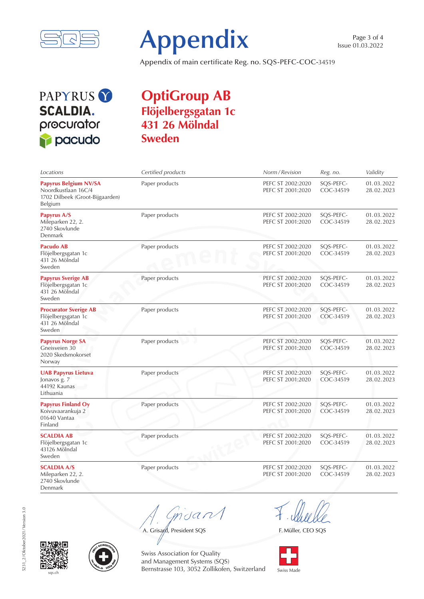



Appendix of main certificate Reg. no. SQS-PEFC-COC-34519

PAPYRUS<sup>Y</sup> **SCALDIA.** procurator pacudo

## **OptiGroup AB Flöjelbergsgatan 1c 431 26 Mölndal Sweden**

| Locations                                                                                         | Certified products | Norm / Revision                        | Reg. no.               | Validity                 |
|---------------------------------------------------------------------------------------------------|--------------------|----------------------------------------|------------------------|--------------------------|
| <b>Papyrus Belgium NV/SA</b><br>Noordkustlaan 16C/4<br>1702 Dilbeek (Groot-Bijgaarden)<br>Belgium | Paper products     | PEFC ST 2002:2020<br>PEFC ST 2001:2020 | SQS-PEFC-<br>COC-34519 | 01.03.2022<br>28.02.2023 |
| Papyrus A/S<br>Mileparken 22, 2.<br>2740 Skovlunde<br>Denmark                                     | Paper products     | PEFC ST 2002:2020<br>PEFC ST 2001:2020 | SQS-PEFC-<br>COC-34519 | 01.03.2022<br>28.02.2023 |
| Pacudo AB<br>Flöjelbergsgatan 1c<br>431 26 Mölndal<br>Sweden                                      | Paper products     | PEFC ST 2002:2020<br>PEFC ST 2001:2020 | SQS-PEFC-<br>COC-34519 | 01.03.2022<br>28.02.2023 |
| <b>Papyrus Sverige AB</b><br>Flöjelbergsgatan 1c<br>431 26 Mölndal<br>Sweden                      | Paper products     | PEFC ST 2002:2020<br>PEFC ST 2001:2020 | SQS-PEFC-<br>COC-34519 | 01.03.2022<br>28.02.2023 |
| <b>Procurator Sverige AB</b><br>Flöjelbergsgatan 1c<br>431 26 Mölndal<br>Sweden                   | Paper products     | PEFC ST 2002:2020<br>PEFC ST 2001:2020 | SQS-PEFC-<br>COC-34519 | 01.03.2022<br>28.02.2023 |
| <b>Papyrus Norge SA</b><br>Gneisveien 30<br>2020 Skedsmokorset<br>Norway                          | Paper products     | PEFC ST 2002:2020<br>PEFC ST 2001:2020 | SQS-PEFC-<br>COC-34519 | 01.03.2022<br>28.02.2023 |
| <b>UAB Papyrus Lietuva</b><br>Jonavos g. 7<br>44192 Kaunas<br>Lithuania                           | Paper products     | PEFC ST 2002:2020<br>PEFC ST 2001:2020 | SQS-PEFC-<br>COC-34519 | 01.03.2022<br>28.02.2023 |
| <b>Papyrus Finland Oy</b><br>Koivuvaarankuja 2<br>01640 Vantaa<br>Finland                         | Paper products     | PEFC ST 2002:2020<br>PEFC ST 2001:2020 | SQS-PEFC-<br>COC-34519 | 01.03.2022<br>28.02.2023 |
| <b>SCALDIA AB</b><br>Flöjelbergsgatan 1c<br>43126 Mölndal<br>Sweden                               | Paper products     | PEFC ST 2002:2020<br>PEFC ST 2001:2020 | SQS-PEFC-<br>COC-34519 | 01.03.2022<br>28.02.2023 |
| <b>SCALDIA A/S</b><br>Mileparken 22, 2.<br>2740 Skovlunde<br>Denmark                              | Paper products     | PEFC ST 2002:2020<br>PEFC ST 2001:2020 | SQS-PEFC-<br>COC-34519 | 01.03.2022<br>28.02.2023 |

mdan

A. Grisard, President SQS

F. Müller, CEO SQS







Swiss Association for Quality and Management Systems (SQS) sqs.ch Switzerland Swiss Made Switzerland Swiss Made Switzerland Swiss Made